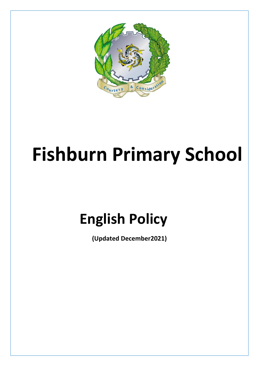

# **Fishburn Primary School**

## **English Policy**

**(Updated December2021)**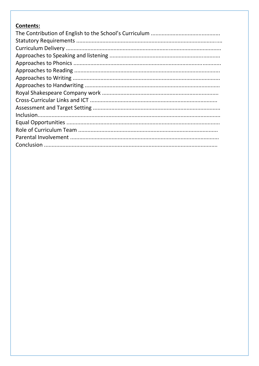## **Contents:**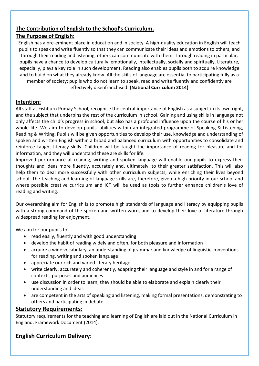## **The Contribution of English to the School's Curriculum.**

## **The Purpose of English:**

English has a pre-eminent place in education and in society. A high-quality education in English will teach pupils to speak and write fluently so that they can communicate their ideas and emotions to others, and through their reading and listening, others can communicate with them. Through reading in particular, pupils have a chance to develop culturally, emotionally, intellectually, socially and spiritually. Literature, especially, plays a key role in such development. Reading also enables pupils both to acquire knowledge and to build on what they already know. All the skills of language are essential to participating fully as a member of society; pupils who do not learn to speak, read and write fluently and confidently are effectively disenfranchised. **(National Curriculum 2014)**

## **Intention:**

All staff at Fishburn Primay School, recognise the central importance of English as a subject in its own right, and the subject that underpins the rest of the curriculum in school. Gaining and using skills in language not only affects the child's progress in school, but also has a profound influence upon the course of his or her whole life. We aim to develop pupils' abilities within an integrated programme of Speaking & Listening, Reading & Writing. Pupils will be given opportunities to develop their use, knowledge and understanding of spoken and written English within a broad and balanced curriculum with opportunities to consolidate and reinforce taught literacy skills. Children will be taught the importance of reading for pleasure and for information, and they will understand these are skills for life.

Improved performance at reading, writing and spoken language will enable our pupils to express their thoughts and ideas more fluently, accurately and, ultimately, to their greater satisfaction. This will also help them to deal more successfully with other curriculum subjects, while enriching their lives beyond school. The teaching and learning of language skills are, therefore, given a high priority in our school and where possible creative curriculum and ICT will be used as tools to further enhance children's love of reading and writing.

Our overarching aim for English is to promote high standards of language and literacy by equipping pupils with a strong command of the spoken and written word, and to develop their love of literature through widespread reading for enjoyment.

We aim for our pupils to:

- read easily, fluently and with good understanding
- develop the habit of reading widely and often, for both pleasure and information
- acquire a wide vocabulary, an understanding of grammar and knowledge of linguistic conventions for reading, writing and spoken language
- appreciate our rich and varied literary heritage
- write clearly, accurately and coherently, adapting their language and style in and for a range of contexts, purposes and audiences
- use discussion in order to learn; they should be able to elaborate and explain clearly their understanding and ideas
- are competent in the arts of speaking and listening, making formal presentations, demonstrating to others and participating in debate.

## **Statutory Requirements:**

Statutory requirements for the teaching and learning of English are laid out in the National Curriculum in England: Framework Document (2014).

## **English Curriculum Delivery:**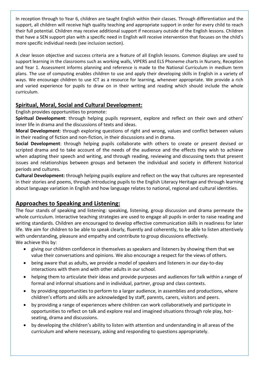In reception through to Year 6, children are taught English within their classes. Through differentiation and the support, all children will receive high quality teaching and appropriate support in order for every child to reach their full potential. Children may receive additional support if necessary outside of the English lessons. Children that have a SEN support plan with a specific need in English will receive intervention that focuses on the child's more specific individual needs (see inclusion section).

A clear lesson objective and success criteria are a feature of all English lessons. Common displays are used to support learning in the classrooms such as working walls, VIPERS and ELS Phoneme charts in Nursery, Reception and Year 1. Assessment informs planning and reference is made to the National Curriculum in medium term plans. The use of computing enables children to use and apply their developing skills in English in a variety of ways. We encourage children to use ICT as a resource for learning, whenever appropriate. We provide a rich and varied experience for pupils to draw on in their writing and reading which should include the whole curriculum.

## **Spiritual, Moral, Social and Cultural Development:**

English provides opportunities to promote:

**Spiritual Development**: through helping pupils represent, explore and reflect on their own and others' inner life in drama and the discussions of texts and ideas.

**Moral Development**: through exploring questions of right and wrong, values and conflict between values in their reading of fiction and non-fiction, in their discussions and in drama.

**Social Development**: through helping pupils collaborate with others to create or present devised or scripted drama and to take account of the needs of the audience and the effects they wish to achieve when adapting their speech and writing, and through reading, reviewing and discussing texts that present issues and relationships between groups and between the individual and society in different historical periods and cultures.

**Cultural Development:** through helping pupils explore and reflect on the way that cultures are represented in their stories and poems, through introducing pupils to the English Literacy Heritage and through learning about language variation in English and how language relates to national, regional and cultural identities.

## **Approaches to Speaking and Listening:**

The four stands of speaking and listening: speaking, listening, group discussion and drama permeate the whole curriculum. Interactive teaching strategies are used to engage all pupils in order to raise reading and writing standards. Children are encouraged to develop effective communication skills in readiness for later life. We aim for children to be able to speak clearly, fluently and coherently, to be able to listen attentively with understanding, pleasure and empathy and contribute to group discussions effectively. We achieve this by:

- giving our children confidence in themselves as speakers and listeners by showing them that we value their conversations and opinions. We also encourage a respect for the views of others.
- being aware that as adults, we provide a model of speakers and listeners in our day-to-day interactions with them and with other adults in our school.
- helping them to articulate their ideas and provide purposes and audiences for talk within a range of formal and informal situations and in individual, partner, group and class contexts.
- by providing opportunities to perform to a larger audience, in assemblies and productions, where children's efforts and skills are acknowledged by staff, parents, carers, visitors and peers.
- by providing a range of experiences where children can work collaboratively and participate in opportunities to reflect on talk and explore real and imagined situations through role play, hotseating, drama and discussions.
- by developing the children's ability to listen with attention and understanding in all areas of the curriculum and where necessary, asking and responding to questions appropriately.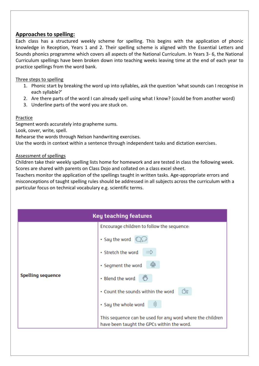#### **Approaches to spelling:**

Each class has a structured weekly scheme for spelling. This begins with the application of phonic knowledge in Reception, Years 1 and 2. Their spelling scheme is aligned with the Essential Letters and Sounds phonics programme which covers all aspects of the National Curriculum. In Years 3- 6, the National Curriculum spellings have been broken down into teaching weeks leaving time at the end of each year to practice spellings from the word bank.

#### Three steps to spelling

- 1. Phonic start by breaking the word up into syllables, ask the question 'what sounds can I recognise in each syllable?'
- 2. Are there parts of the word I can already spell using what I know? (could be from another word)
- 3. Underline parts of the word you are stuck on.

#### Practice

Segment words accurately into grapheme sums.

Look, cover, write, spell.

Rehearse the words through Nelson handwriting exercises.

Use the words in context within a sentence through independent tasks and dictation exercises.

#### Assessment of spellings

Children take their weekly spelling lists home for homework and are tested in class the following week. Scores are shared with parents on Class Dojo and collated on a class excel sheet.

Teachers monitor the application of the spellings taught in written tasks. Age-appropriate errors and misconceptions of taught spelling rules should be addressed in all subjects across the curriculum with a particular focus on technical vocabulary e.g. scientific terms.

| <b>Key teaching features</b> |                                                                                                         |  |  |  |
|------------------------------|---------------------------------------------------------------------------------------------------------|--|--|--|
|                              | Encourage children to follow the sequence:                                                              |  |  |  |
| <b>Spelling sequence</b>     | · Say the word                                                                                          |  |  |  |
|                              | • Stretch the word<br>$\mathbb{R}$                                                                      |  |  |  |
|                              | ⊕<br>• Segment the word                                                                                 |  |  |  |
|                              | • Blend the word                                                                                        |  |  |  |
|                              | Ćs.<br>• Count the sounds within the word                                                               |  |  |  |
|                              | )))<br>· Say the whole word                                                                             |  |  |  |
|                              | This sequence can be used for any word where the children<br>have been taught the GPCs within the word. |  |  |  |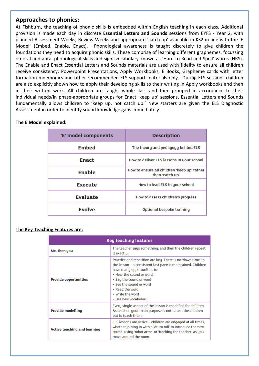#### **Approaches to phonics:**

At Fishburn, the teaching of phonic skills is embedded within English teaching in each class. Additional provision is made each day in discrete **Essential Letters and Sounds** sessions from EYFS - Year 2, with planned Assessment Weeks, Review Weeks and appropriate 'catch up' available in KS2 in line with the 'E Model' (Embed, Enable, Enact). Phonological awareness is taught discretely to give children the foundations they need to acquire phonic skills. These comprise of learning different graphemes, focussing on oral and aural phonological skills and sight vocabulary known as 'Hard to Read and Spell' words (HRS). The Enable and Enact Essential Letters and Sounds materials are used with fidelity to ensure all children receive consistency: Powerpoint Presentations, Apply Workbooks, E Books, Grapheme cards with letter formation mnemonics and other recommended ELS support materials only. During ELS sessions children are also explicitly shown how to apply their developing skills to their writing in Apply workbooks and then in their written work. All children are taught whole-class and then grouped in accordance to their individual needs/in phase-appropriate groups for Enact 'keep up' sessions. Essential Letters and Sounds fundamentally allows children to 'keep up, not catch up.' New starters are given the ELS Diagnostic Assessment in order to identify sound knowledge gaps immediately.

#### **The E Model explained:**

| 'E' model components | <b>Description</b>                                             |  |
|----------------------|----------------------------------------------------------------|--|
| <b>Embed</b>         | The theory and pedagogy behind ELS                             |  |
| <b>Enact</b>         | How to deliver ELS lessons in your school                      |  |
| <b>Enable</b>        | How to ensure all children 'keep up' rather<br>than 'catch up' |  |
| <b>Execute</b>       | How to lead ELS in your school                                 |  |
| <b>Evaluate</b>      | How to assess children's progress                              |  |
| <b>Evolve</b>        | Optional bespoke training                                      |  |

#### **The Key Teaching Features are:**

| <b>Key teaching features</b>        |                                                                                                                                                                                                                                                                                                             |  |  |
|-------------------------------------|-------------------------------------------------------------------------------------------------------------------------------------------------------------------------------------------------------------------------------------------------------------------------------------------------------------|--|--|
| Me, then you                        | The teacher says something, and then the children repeat<br>it exactly.                                                                                                                                                                                                                                     |  |  |
| <b>Provide opportunities</b>        | Practice and repetition are key. There is no 'down time' in<br>the lesson – a consistent fast pace is maintained. Children<br>have many opportunities to:<br>• Hear the sound or word<br>• Say the sound or word<br>• See the sound or word<br>• Read the word<br>• Write the word<br>• Use new vocabulary. |  |  |
| <b>Provide modelling</b>            | Every single aspect of the lesson is modelled for children.<br>As teacher, your main purpose is not to test the children<br>but to teach them.                                                                                                                                                              |  |  |
| <b>Active teaching and learning</b> | ELS lessons are active – children are engaged at all times,<br>whether joining in with a 'drum roll' to introduce the new<br>sound, using 'robot arms' or 'tracking the teacher' as you<br>move around the room.                                                                                            |  |  |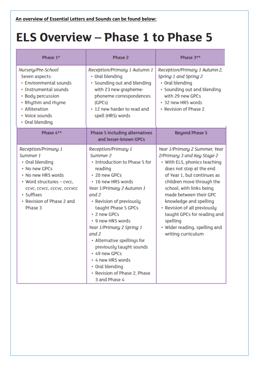## **ELS Overview - Phase 1 to Phase 5**

| Phase 1*                                                                                                                                                                                                          | Phase 2                                                                                                                                                                                                                                                                                                                                                                                                                                                            | Phase 3**                                                                                                                                                                                                                                                                                                                                                                                              |
|-------------------------------------------------------------------------------------------------------------------------------------------------------------------------------------------------------------------|--------------------------------------------------------------------------------------------------------------------------------------------------------------------------------------------------------------------------------------------------------------------------------------------------------------------------------------------------------------------------------------------------------------------------------------------------------------------|--------------------------------------------------------------------------------------------------------------------------------------------------------------------------------------------------------------------------------------------------------------------------------------------------------------------------------------------------------------------------------------------------------|
| Nursery/Pre-School<br>Seven aspects:<br>• Environmental sounds<br>· Instrumental sounds<br>• Body percussion<br>• Rhythm and rhyme<br>• Alliteration<br>• Voice sounds<br>• Oral blending                         | Reception/Primary 1 Autumn 1<br>• Oral blending<br>• Sounding out and blending<br>with 23 new grapheme-<br>phoneme correspondences<br>(GPCs)<br>• 12 new harder to read and<br>spell (HRS) words                                                                                                                                                                                                                                                                   | Reception/Primary 1 Autumn 2,<br>Spring 1 and Spring 2<br>• Oral blending<br>• Sounding out and blending<br>with 29 new GPCs<br>• 32 new HRS words<br>• Revision of Phase 2                                                                                                                                                                                                                            |
| Phase 4**                                                                                                                                                                                                         | <b>Phase 5 including alternatives</b><br>and lesser-known GPCs                                                                                                                                                                                                                                                                                                                                                                                                     | <b>Beyond Phase 5</b>                                                                                                                                                                                                                                                                                                                                                                                  |
| <b>Reception/Primary 1</b><br>Summer 1<br>• Oral blending<br>• No new GPCs<br>• No new HRS words<br>• Word structures - cvcc.<br>ccvc, ccvcc, cccvc, cccvcc<br>• Suffixes<br>• Revision of Phase 2 and<br>Phase 3 | <b>Reception/Primary 1</b><br>Summer 2<br>• Introduction to Phase 5 for<br>reading<br>• 20 new GPCs<br>• 16 new HRS words<br>Year 1/Primary 2 Autumn 1<br>and 2<br>• Revision of previously<br>taught Phase 5 GPCs<br>• 2 new GPCs<br>• 9 new HRS words<br>Year 1/Primary 2 Spring 1<br>and 2<br>• Alternative spellings for<br>previously taught sounds<br>• 49 new GPCs<br>• 4 new HRS words<br>• Oral blending<br>• Revision of Phase 2, Phase<br>3 and Phase 4 | Year 1/Primary 2 Summer, Year<br>2/Primary 3 and Key Stage 2<br>• With ELS, phonics teaching<br>does not stop at the end<br>of Year 1, but continues as<br>children move through the<br>school, with links being<br>made between their GPC<br>knowledge and spelling<br>• Revision of all previously<br>taught GPCs for reading and<br>spelling<br>• Wider reading, spelling and<br>writing curriculum |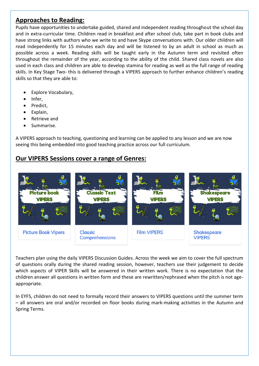## **Approaches to Reading:**

Pupils have opportunities to undertake guided, shared and independent reading throughout the school day and in extra-curricular time. Children read in breakfast and after school club, take part in book clubs and have strong links with authors who we write to and have Skype conversations with. Our older children will read independently for 15 minutes each day and will be listened to by an adult in school as much as possible across a week. Reading skills will be taught early in the Autumn term and revisited often throughout the remainder of the year, according to the ability of the child. Shared class novels are also used in each class and children are able to develop stamina for reading as well as the full range of reading skills. In Key Stage Two- this is delivered through a VIPERS approach to further enhance children's reading skills so that they are able to:

- Explore Vocabulary,
- Infer,
- Predict,
- Explain,
- Retrieve and
- Summarise.

A VIPERS approach to teaching, questioning and learning can be applied to any lesson and we are now seeing this being embedded into good teaching practice across our full curriculum.

## **Our VIPERS Sessions cover a range of Genres:**



Teachers plan using the daily VIPERS Discussion Guides. Across the week we aim to cover the full spectrum of questions orally during the shared reading session, however, teachers use their judgement to decide which aspects of VIPER Skills will be answered in their written work. There is no expectation that the children answer all questions in written form and these are rewritten/rephrased when the pitch is not ageappropriate.

In EYFS, children do not need to formally record their answers to VIPERS questions until the summer term – all answers are oral and/or recorded on floor books during mark-making activities in the Autumn and Spring Terms.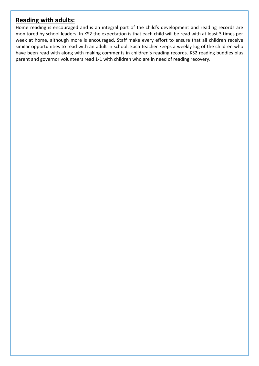## **Reading with adults:**

Home reading is encouraged and is an integral part of the child's development and reading records are monitored by school leaders. In KS2 the expectation is that each child will be read with at least 3 times per week at home, although more is encouraged. Staff make every effort to ensure that all children receive similar opportunities to read with an adult in school. Each teacher keeps a weekly log of the children who have been read with along with making comments in children's reading records. KS2 reading buddies plus parent and governor volunteers read 1-1 with children who are in need of reading recovery.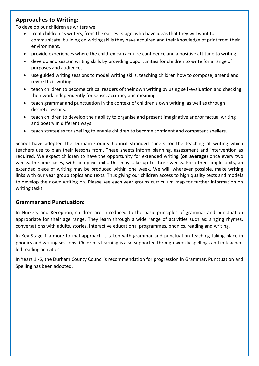## **Approaches to Writing:**

To develop our children as writers we:

- treat children as writers, from the earliest stage, who have ideas that they will want to communicate, building on writing skills they have acquired and their knowledge of print from their environment.
- provide experiences where the children can acquire confidence and a positive attitude to writing.
- develop and sustain writing skills by providing opportunities for children to write for a range of purposes and audiences.
- use guided writing sessions to model writing skills, teaching children how to compose, amend and revise their writing.
- teach children to become critical readers of their own writing by using self-evaluation and checking their work independently for sense, accuracy and meaning.
- teach grammar and punctuation in the context of children's own writing, as well as through discrete lessons.
- teach children to develop their ability to organise and present imaginative and/or factual writing and poetry in different ways.
- teach strategies for spelling to enable children to become confident and competent spellers.

School have adopted the Durham County Council stranded sheets for the teaching of writing which teachers use to plan their lessons from. These sheets inform planning, assessment and intervention as required. We expect children to have the opportunity for extended writing **(on average)** once every two weeks. In some cases, with complex texts, this may take up to three weeks. For other simple texts, an extended piece of writing may be produced within one week. We will, wherever possible, make writing links with our year group topics and texts. Thus giving our children access to high quality texts and models to develop their own writing on. Please see each year groups curriculum map for further information on writing tasks.

#### **Grammar and Punctuation:**

In Nursery and Reception, children are introduced to the basic principles of grammar and punctuation appropriate for their age range. They learn through a wide range of activities such as: singing rhymes, conversations with adults, stories, interactive educational programmes, phonics, reading and writing.

In Key Stage 1 a more formal approach is taken with grammar and punctuation teaching taking place in phonics and writing sessions. Children's learning is also supported through weekly spellings and in teacherled reading activities.

In Years 1 -6, the Durham County Council's recommendation for progression in Grammar, Punctuation and Spelling has been adopted.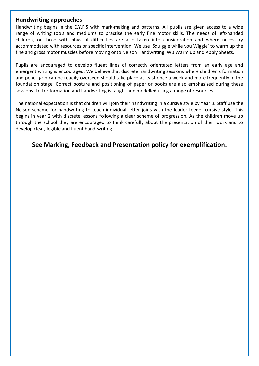#### **Handwriting approaches:**

Handwriting begins in the E.Y.F.S with mark-making and patterns. All pupils are given access to a wide range of writing tools and mediums to practise the early fine motor skills. The needs of left-handed children, or those with physical difficulties are also taken into consideration and where necessary accommodated with resources or specific intervention. We use 'Squiggle while you Wiggle' to warm up the fine and gross motor muscles before moving onto Nelson Handwriting IWB Warm up and Apply Sheets.

Pupils are encouraged to develop fluent lines of correctly orientated letters from an early age and emergent writing is encouraged. We believe that discrete handwriting sessions where children's formation and pencil grip can be readily overseen should take place at least once a week and more frequently in the foundation stage. Correct posture and positioning of paper or books are also emphasised during these sessions. Letter formation and handwriting is taught and modelled using a range of resources.

The national expectation is that children will join their handwriting in a cursive style by Year 3. Staff use the Nelson scheme for handwriting to teach individual letter joins with the leader feeder cursive style. This begins in year 2 with discrete lessons following a clear scheme of progression. As the children move up through the school they are encouraged to think carefully about the presentation of their work and to develop clear, legible and fluent hand-writing.

## **See Marking, Feedback and Presentation policy for exemplification.**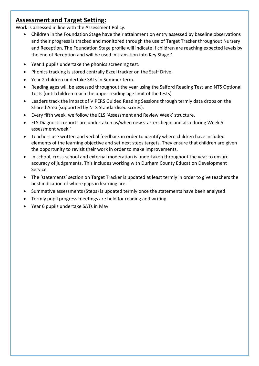## **Assessment and Target Setting:**

Work is assessed in line with the Assessment Policy.

- Children in the Foundation Stage have their attainment on entry assessed by baseline observations and their progress is tracked and monitored through the use of Target Tracker throughout Nursery and Reception. The Foundation Stage profile will indicate if children are reaching expected levels by the end of Reception and will be used in transition into Key Stage 1
- Year 1 pupils undertake the phonics screening test.
- Phonics tracking is stored centrally Excel tracker on the Staff Drive.
- Year 2 children undertake SATs in Summer term.
- Reading ages will be assessed throughout the year using the Salford Reading Test and NTS Optional Tests (until children reach the upper reading age limit of the tests)
- Leaders track the impact of VIPERS Guided Reading Sessions through termly data drops on the Shared Area (supported by NTS Standardised scores).
- Every fifth week, we follow the ELS 'Assessment and Review Week' structure.
- ELS Diagnostic reports are undertaken as/when new starters begin and also during Week 5 assessment week.'
- Teachers use written and verbal feedback in order to identify where children have included elements of the learning objective and set next steps targets. They ensure that children are given the opportunity to revisit their work in order to make improvements.
- In school, cross-school and external moderation is undertaken throughout the year to ensure accuracy of judgements. This includes working with Durham County Education Development Service.
- The 'statements' section on Target Tracker is updated at least termly in order to give teachers the best indication of where gaps in learning are.
- Summative assessments (Steps) is updated termly once the statements have been analysed.
- Termly pupil progress meetings are held for reading and writing.
- Year 6 pupils undertake SATs in May.